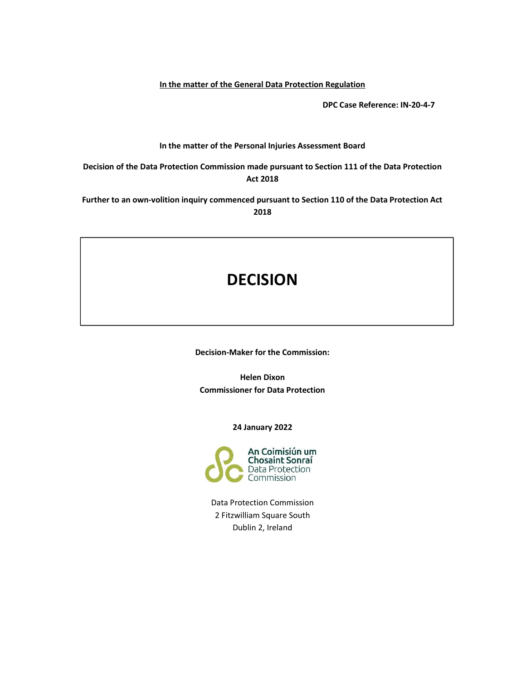In the matter of the General Data Protection Regulation

DPC Case Reference: IN-20-4-7

In the matter of the Personal Injuries Assessment Board

Decision of the Data Protection Commission made pursuant to Section 111 of the Data Protection Act 2018

Further to an own-volition inquiry commenced pursuant to Section 110 of the Data Protection Act 2018

# DECISION

Decision-Maker for the Commission:

Helen Dixon Commissioner for Data Protection

24 January 2022



Data Protection Commission 2 Fitzwilliam Square South Dublin 2, Ireland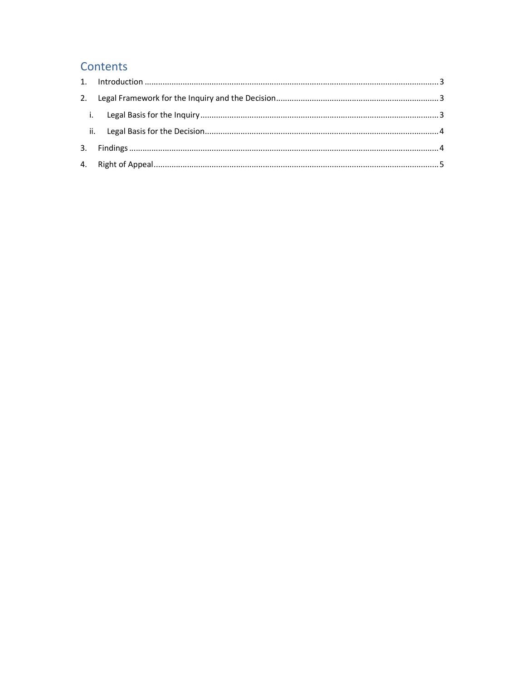# Contents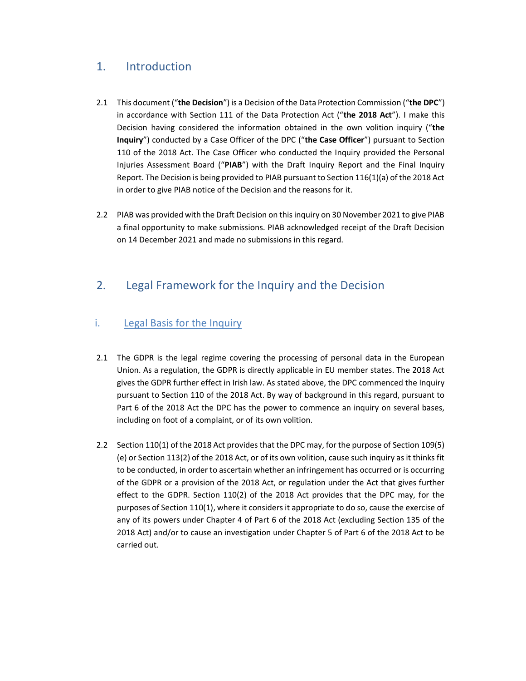## 1. Introduction

- 2.1 This document ("the Decision") is a Decision of the Data Protection Commission ("the DPC") in accordance with Section 111 of the Data Protection Act ("the 2018 Act"). I make this Decision having considered the information obtained in the own volition inquiry ("the Inquiry") conducted by a Case Officer of the DPC ("the Case Officer") pursuant to Section 110 of the 2018 Act. The Case Officer who conducted the Inquiry provided the Personal Injuries Assessment Board ("PIAB") with the Draft Inquiry Report and the Final Inquiry Report. The Decision is being provided to PIAB pursuant to Section 116(1)(a) of the 2018 Act in order to give PIAB notice of the Decision and the reasons for it.
- 2.2 PIAB was provided with the Draft Decision on this inquiry on 30 November 2021 to give PIAB a final opportunity to make submissions. PIAB acknowledged receipt of the Draft Decision on 14 December 2021 and made no submissions in this regard.

## 2. Legal Framework for the Inquiry and the Decision

## i. Legal Basis for the Inquiry

- 2.1 The GDPR is the legal regime covering the processing of personal data in the European Union. As a regulation, the GDPR is directly applicable in EU member states. The 2018 Act gives the GDPR further effect in Irish law. As stated above, the DPC commenced the Inquiry pursuant to Section 110 of the 2018 Act. By way of background in this regard, pursuant to Part 6 of the 2018 Act the DPC has the power to commence an inquiry on several bases, including on foot of a complaint, or of its own volition.
- 2.2 Section 110(1) of the 2018 Act provides that the DPC may, for the purpose of Section 109(5) (e) or Section 113(2) of the 2018 Act, or of its own volition, cause such inquiry as it thinks fit to be conducted, in order to ascertain whether an infringement has occurred or is occurring of the GDPR or a provision of the 2018 Act, or regulation under the Act that gives further effect to the GDPR. Section 110(2) of the 2018 Act provides that the DPC may, for the purposes of Section 110(1), where it considers it appropriate to do so, cause the exercise of any of its powers under Chapter 4 of Part 6 of the 2018 Act (excluding Section 135 of the 2018 Act) and/or to cause an investigation under Chapter 5 of Part 6 of the 2018 Act to be carried out.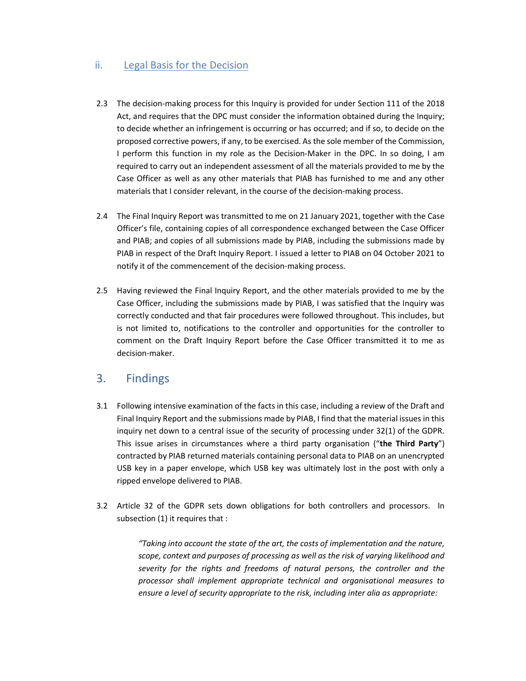#### ii. Legal Basis for the Decision

- 2.3 The decision-making process for this Inquiry is provided for under Section 111 of the 2018 Act, and requires that the DPC must consider the information obtained during the Inquiry; to decide whether an infringement is occurring or has occurred; and if so, to decide on the proposed corrective powers, if any, to be exercised. As the sole member of the Commission, I perform this function in my role as the Decision-Maker in the DPC. In so doing, I am required to carry out an independent assessment of all the materials provided to me by the Case Officer as well as any other materials that PIAB has furnished to me and any other materials that I consider relevant, in the course of the decision-making process.
- 2.4 The Final Inquiry Report was transmitted to me on 21 January 2021, together with the Case Officer's file, containing copies of all correspondence exchanged between the Case Officer and PIAB; and copies of all submissions made by PIAB, including the submissions made by PIAB in respect of the Draft Inquiry Report. I issued a letter to PIAB on 04 October 2021 to notify it of the commencement of the decision-making process.
- 2.5 Having reviewed the Final Inquiry Report, and the other materials provided to me by the Case Officer, including the submissions made by PIAB, I was satisfied that the Inquiry was correctly conducted and that fair procedures were followed throughout. This includes, but is not limited to, notifications to the controller and opportunities for the controller to comment on the Draft Inquiry Report before the Case Officer transmitted it to me as decision-maker.

### 3. Findings

- 3.1 Following intensive examination of the facts in this case, including a review of the Draft and Final Inquiry Report and the submissions made by PIAB, I find that the material issues in this inquiry net down to a central issue of the security of processing under 32(1) of the GDPR. This issue arises in circumstances where a third party organisation ("the Third Party") contracted by PIAB returned materials containing personal data to PIAB on an unencrypted USB key in a paper envelope, which USB key was ultimately lost in the post with only a ripped envelope delivered to PIAB.
- 3.2 Article 32 of the GDPR sets down obligations for both controllers and processors. In subsection (1) it requires that :

"Taking into account the state of the art, the costs of implementation and the nature, scope, context and purposes of processing as well as the risk of varying likelihood and severity for the rights and freedoms of natural persons, the controller and the processor shall implement appropriate technical and organisational measures to ensure a level of security appropriate to the risk, including inter alia as appropriate: